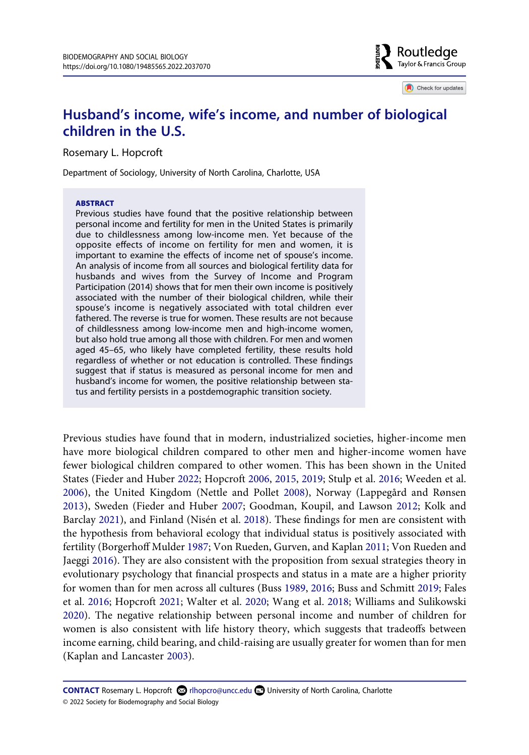

Check for updates

# **Husband's income, wife's income, and number of biological children in the U.S.**

Rosemary L. Hopcroft

Department of Sociology, University of North Carolina, Charlotte, USA

#### ABSTRACT

Previous studies have found that the positive relationship between personal income and fertility for men in the United States is primarily due to childlessness among low-income men. Yet because of the opposite effects of income on fertility for men and women, it is important to examine the effects of income net of spouse's income. An analysis of income from all sources and biological fertility data for husbands and wives from the Survey of Income and Program Participation (2014) shows that for men their own income is positively associated with the number of their biological children, while their spouse's income is negatively associated with total children ever fathered. The reverse is true for women. These results are not because of childlessness among low-income men and high-income women, but also hold true among all those with children. For men and women aged 45–65, who likely have completed fertility, these results hold regardless of whether or not education is controlled. These findings suggest that if status is measured as personal income for men and husband's income for women, the positive relationship between status and fertility persists in a postdemographic transition society.

<span id="page-0-8"></span><span id="page-0-7"></span><span id="page-0-6"></span><span id="page-0-4"></span><span id="page-0-3"></span><span id="page-0-0"></span>Previous studies have found that in modern, industrialized societies, higher-income men have more biological children compared to other men and higher-income women have fewer biological children compared to other women. This has been shown in the United States (Fieder and Huber [2022;](#page-10-0) Hopcroft [2006,](#page-10-1) [2015](#page-10-2), [2019;](#page-10-3) Stulp et al. [2016;](#page-11-0) Weeden et al. [2006](#page-12-0)), the United Kingdom (Nettle and Pollet [2008](#page-11-1)), Norway (Lappegård and Rønsen [2013](#page-11-2)), Sweden (Fieder and Huber [2007](#page-10-4); Goodman, Koupil, and Lawson [2012;](#page-10-5) Kolk and Barclay [2021](#page-11-3)), and Finland (Nisén et al. [2018\)](#page-11-4). These findings for men are consistent with the hypothesis from behavioral ecology that individual status is positively associated with fertility (Borgerhoff Mulder [1987;](#page-10-6) Von Rueden, Gurven, and Kaplan [2011](#page-12-1); Von Rueden and Jaeggi [2016](#page-12-2)). They are also consistent with the proposition from sexual strategies theory in evolutionary psychology that financial prospects and status in a mate are a higher priority for women than for men across all cultures (Buss [1989](#page-10-7), [2016](#page-10-8); Buss and Schmitt [2019;](#page-10-9) Fales et al. [2016](#page-10-10); Hopcroft [2021;](#page-10-11) Walter et al. [2020;](#page-12-3) Wang et al. [2018](#page-12-4); Williams and Sulikowski [2020](#page-12-5)). The negative relationship between personal income and number of children for women is also consistent with life history theory, which suggests that tradeoffs between income earning, child bearing, and child-raising are usually greater for women than for men (Kaplan and Lancaster [2003](#page-11-5)).

<span id="page-0-5"></span><span id="page-0-2"></span><span id="page-0-1"></span>**CONTACT** Rosemary L. Hopcroft **&** rlhopcro@uncc.edu **■** University of North Carolina, Charlotte © 2022 Society for Biodemography and Social Biology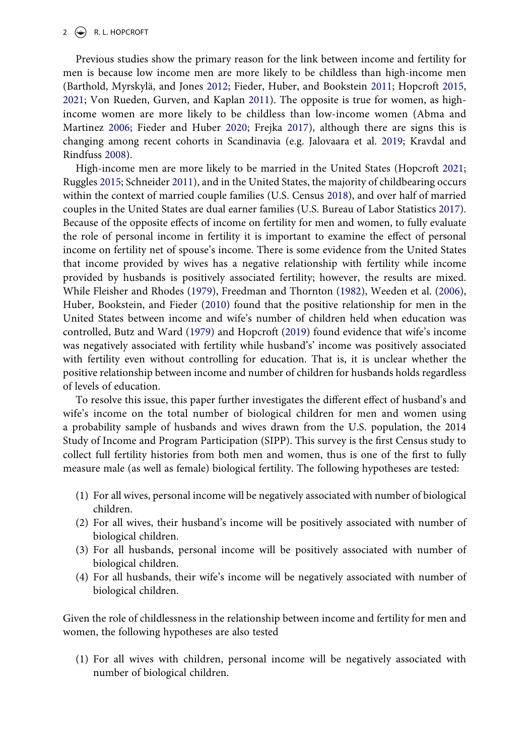<span id="page-1-1"></span>Previous studies show the primary reason for the link between income and fertility for men is because low income men are more likely to be childless than high-income men (Barthold, Myrskylä, and Jones [2012](#page-10-12); Fieder, Huber, and Bookstein [2011;](#page-10-13) Hopcroft [2015,](#page-10-2) [2021](#page-10-11); Von Rueden, Gurven, and Kaplan [2011](#page-12-1)). The opposite is true for women, as highincome women are more likely to be childless than low-income women (Abma and Martinez [2006;](#page-9-0) Fieder and Huber [2020](#page-10-14); Frejka [2017](#page-10-15)), although there are signs this is changing among recent cohorts in Scandinavia (e.g. Jalovaara et al. [2019;](#page-11-6) Kravdal and Rindfuss [2008](#page-11-7)).

<span id="page-1-9"></span><span id="page-1-8"></span><span id="page-1-7"></span><span id="page-1-6"></span><span id="page-1-5"></span><span id="page-1-0"></span>High-income men are more likely to be married in the United States (Hopcroft [2021;](#page-10-11) Ruggles [2015](#page-11-8); Schneider [2011](#page-11-9)), and in the United States, the majority of childbearing occurs within the context of married couple families (U.S. Census [2018\)](#page-11-10), and over half of married couples in the United States are dual earner families (U.S. Bureau of Labor Statistics [2017](#page-11-11)). Because of the opposite effects of income on fertility for men and women, to fully evaluate the role of personal income in fertility it is important to examine the effect of personal income on fertility net of spouse's income. There is some evidence from the United States that income provided by wives has a negative relationship with fertility while income provided by husbands is positively associated fertility; however, the results are mixed. While Fleisher and Rhodes ([1979](#page-10-16)), Freedman and Thornton ([1982](#page-10-17)), Weeden et al. ([2006](#page-12-0)), Huber, Bookstein, and Fieder [\(2010\)](#page-11-12) found that the positive relationship for men in the United States between income and wife's number of children held when education was controlled, Butz and Ward ([1979\)](#page-10-18) and Hopcroft ([2019\)](#page-10-3) found evidence that wife's income was negatively associated with fertility while husband's' income was positively associated with fertility even without controlling for education. That is, it is unclear whether the positive relationship between income and number of children for husbands holds regardless of levels of education.

<span id="page-1-4"></span><span id="page-1-3"></span><span id="page-1-2"></span>To resolve this issue, this paper further investigates the different effect of husband's and wife's income on the total number of biological children for men and women using a probability sample of husbands and wives drawn from the U.S. population, the 2014 Study of Income and Program Participation (SIPP). This survey is the first Census study to collect full fertility histories from both men and women, thus is one of the first to fully measure male (as well as female) biological fertility. The following hypotheses are tested:

- (1) For all wives, personal income will be negatively associated with number of biological children.
- (2) For all wives, their husband's income will be positively associated with number of biological children.
- (3) For all husbands, personal income will be positively associated with number of biological children.
- (4) For all husbands, their wife's income will be negatively associated with number of biological children.

Given the role of childlessness in the relationship between income and fertility for men and women, the following hypotheses are also tested

(1) For all wives with children, personal income will be negatively associated with number of biological children.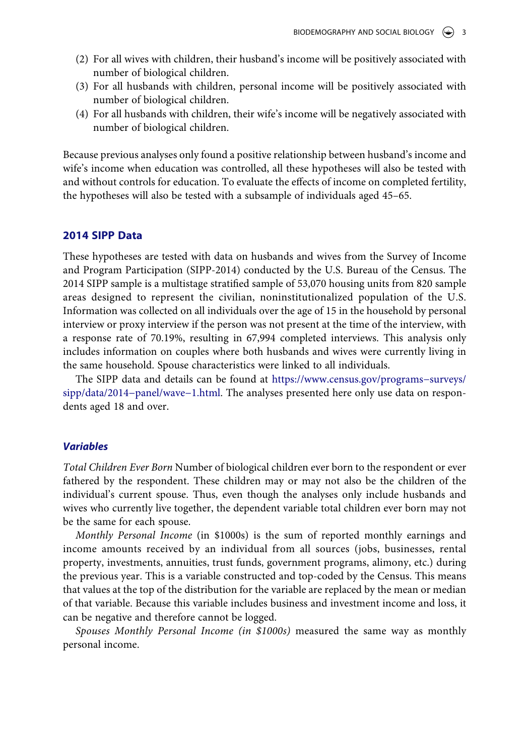- (2) For all wives with children, their husband's income will be positively associated with number of biological children.
- (3) For all husbands with children, personal income will be positively associated with number of biological children.
- (4) For all husbands with children, their wife's income will be negatively associated with number of biological children.

Because previous analyses only found a positive relationship between husband's income and wife's income when education was controlled, all these hypotheses will also be tested with and without controls for education. To evaluate the effects of income on completed fertility, the hypotheses will also be tested with a subsample of individuals aged 45–65.

# **2014 SIPP Data**

These hypotheses are tested with data on husbands and wives from the Survey of Income and Program Participation (SIPP-2014) conducted by the U.S. Bureau of the Census. The 2014 SIPP sample is a multistage stratified sample of 53,070 housing units from 820 sample areas designed to represent the civilian, noninstitutionalized population of the U.S. Information was collected on all individuals over the age of 15 in the household by personal interview or proxy interview if the person was not present at the time of the interview, with a response rate of 70.19%, resulting in 67,994 completed interviews. This analysis only includes information on couples where both husbands and wives were currently living in the same household. Spouse characteristics were linked to all individuals.

The SIPP data and details can be found at [https://www.census.gov/programs−surveys/](https://www.census.gov/programs%26#x2212;surveys/sipp/data/2014%26#x2212;panel/wave%26#x2212;1.html) [sipp/data/2014−panel/wave−1.html.](https://www.census.gov/programs%26#x2212;surveys/sipp/data/2014%26#x2212;panel/wave%26#x2212;1.html) The analyses presented here only use data on respondents aged 18 and over.

# **Variables**

Total Children Ever Born Number of biological children ever born to the respondent or ever fathered by the respondent. These children may or may not also be the children of the individual's current spouse. Thus, even though the analyses only include husbands and wives who currently live together, the dependent variable total children ever born may not be the same for each spouse.

Monthly Personal Income (in \$1000s) is the sum of reported monthly earnings and income amounts received by an individual from all sources (jobs, businesses, rental property, investments, annuities, trust funds, government programs, alimony, etc.) during the previous year. This is a variable constructed and top-coded by the Census. This means that values at the top of the distribution for the variable are replaced by the mean or median of that variable. Because this variable includes business and investment income and loss, it can be negative and therefore cannot be logged.

Spouses Monthly Personal Income (in \$1000s) measured the same way as monthly personal income.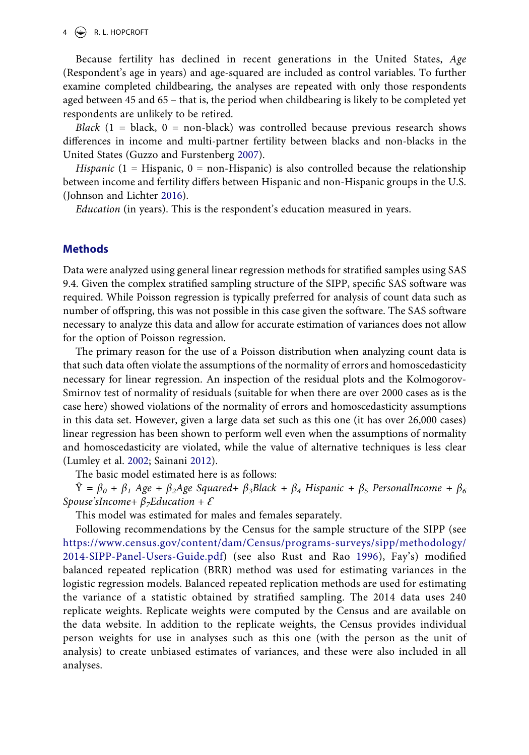#### $4 \quad \circledast$  R. L. HOPCROFT

Because fertility has declined in recent generations in the United States, Age (Respondent's age in years) and age-squared are included as control variables. To further examine completed childbearing, the analyses are repeated with only those respondents aged between 45 and 65 – that is, the period when childbearing is likely to be completed yet respondents are unlikely to be retired.

Black  $(1 = \text{black}, 0 = \text{non-black})$  was controlled because previous research shows differences in income and multi-partner fertility between blacks and non-blacks in the United States (Guzzo and Furstenberg [2007](#page-10-19)).

<span id="page-3-1"></span><span id="page-3-0"></span>Hispanic  $(1 - Hispanic, 0 = non-Hispanic)$  is also controlled because the relationship between income and fertility differs between Hispanic and non-Hispanic groups in the U.S. (Johnson and Lichter [2016\)](#page-11-13).

Education (in years). This is the respondent's education measured in years.

#### **Methods**

Data were analyzed using general linear regression methods for stratified samples using SAS 9.4. Given the complex stratified sampling structure of the SIPP, specific SAS software was required. While Poisson regression is typically preferred for analysis of count data such as number of offspring, this was not possible in this case given the software. The SAS software necessary to analyze this data and allow for accurate estimation of variances does not allow for the option of Poisson regression.

The primary reason for the use of a Poisson distribution when analyzing count data is that such data often violate the assumptions of the normality of errors and homoscedasticity necessary for linear regression. An inspection of the residual plots and the Kolmogorov-Smirnov test of normality of residuals (suitable for when there are over 2000 cases as is the case here) showed violations of the normality of errors and homoscedasticity assumptions in this data set. However, given a large data set such as this one (it has over 26,000 cases) linear regression has been shown to perform well even when the assumptions of normality and homoscedasticity are violated, while the value of alternative techniques is less clear (Lumley et al. [2002;](#page-11-14) Sainani [2012](#page-11-15)).

<span id="page-3-2"></span>The basic model estimated here is as follows:

 $\hat{Y} = \beta_0 + \beta_1$  Age +  $\beta_2$ Age Squared+  $\beta_3$ Black +  $\beta_4$  Hispanic +  $\beta_5$  PersonalIncome +  $\beta_6$ Spouse'sIncome+  $\beta$ <sub>7</sub>Education +  $\mathcal E$ 

This model was estimated for males and females separately.

<span id="page-3-3"></span>Following recommendations by the Census for the sample structure of the SIPP (see [https://www.census.gov/content/dam/Census/programs-surveys/sipp/methodology/](https://www.census.gov/content/dam/Census/programs-surveys/sipp/methodology/2014-SIPP-Panel-Users-Guide.pdf)  [2014-SIPP-Panel-Users-Guide.pdf\)](https://www.census.gov/content/dam/Census/programs-surveys/sipp/methodology/2014-SIPP-Panel-Users-Guide.pdf) (see also Rust and Rao [1996\)](#page-11-16), Fay's) modified balanced repeated replication (BRR) method was used for estimating variances in the logistic regression models. Balanced repeated replication methods are used for estimating the variance of a statistic obtained by stratified sampling. The 2014 data uses 240 replicate weights. Replicate weights were computed by the Census and are available on the data website. In addition to the replicate weights, the Census provides individual person weights for use in analyses such as this one (with the person as the unit of analysis) to create unbiased estimates of variances, and these were also included in all analyses.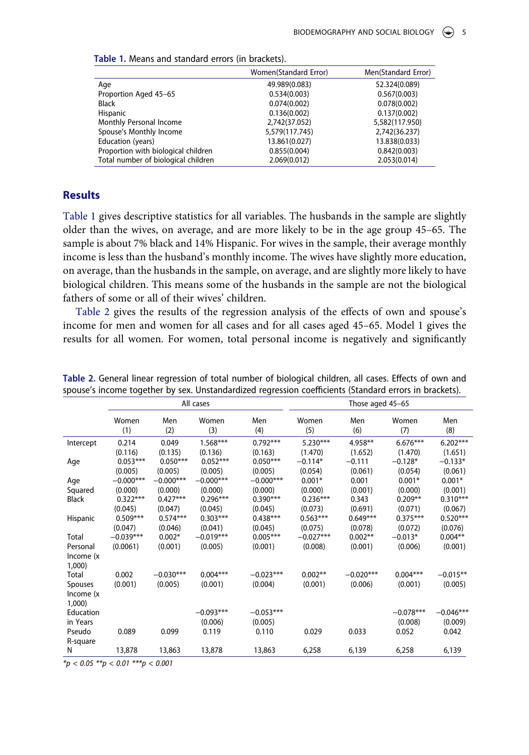|                                     | Women(Standard Error) | Men(Standard Error) |
|-------------------------------------|-----------------------|---------------------|
| Age                                 | 49.989(0.083)         | 52.324(0.089)       |
| Proportion Aged 45-65               | 0.534(0.003)          | 0.567(0.003)        |
| Black                               | 0.074(0.002)          | 0.078(0.002)        |
| Hispanic                            | 0.136(0.002)          | 0.137(0.002)        |
| Monthly Personal Income             | 2.742(37.052)         | 5,582(117.950)      |
| Spouse's Monthly Income             | 5,579(117.745)        | 2,742(36.237)       |
| Education (years)                   | 13.861(0.027)         | 13.838(0.033)       |
| Proportion with biological children | 0.855(0.004)          | 0.842(0.003)        |
| Total number of biological children | 2.069(0.012)          | 2.053(0.014)        |

<span id="page-4-0"></span>

| Table 1. Means and standard errors (in brackets). |
|---------------------------------------------------|
|---------------------------------------------------|

# **Results**

[Table 1](#page-4-0) gives descriptive statistics for all variables. The husbands in the sample are slightly older than the wives, on average, and are more likely to be in the age group 45–65. The sample is about 7% black and 14% Hispanic. For wives in the sample, their average monthly income is less than the husband's monthly income. The wives have slightly more education, on average, than the husbands in the sample, on average, and are slightly more likely to have biological children. This means some of the husbands in the sample are not the biological fathers of some or all of their wives' children.

[Table 2](#page-4-1) gives the results of the regression analysis of the effects of own and spouse's income for men and women for all cases and for all cases aged 45–65. Model 1 gives the results for all women. For women, total personal income is negatively and significantly

|                    |              |             | All cases    |             |              | Those aged 45-65 |              |             |
|--------------------|--------------|-------------|--------------|-------------|--------------|------------------|--------------|-------------|
|                    | Women<br>(1) | Men<br>(2)  | Women<br>(3) | Men<br>(4)  | Women<br>(5) | Men<br>(6)       | Women<br>(7) | Men<br>(8)  |
| Intercept          | 0.214        | 0.049       | $1.568***$   | $0.792***$  | $5.230***$   | 4.958**          | $6.676***$   | $6.202***$  |
|                    | (0.116)      | (0.135)     | (0.136)      | (0.163)     | (1.470)      | (1.652)          | (1.470)      | (1.651)     |
| Age                | $0.053***$   | $0.050***$  | $0.052***$   | $0.050***$  | $-0.114*$    | $-0.111$         | $-0.128*$    | $-0.133*$   |
|                    | (0.005)      | (0.005)     | (0.005)      | (0.005)     | (0.054)      | (0.061)          | (0.054)      | (0.061)     |
| Age                | $-0.000***$  | $-0.000***$ | $-0.000***$  | $-0.000***$ | $0.001*$     | 0.001            | $0.001*$     | $0.001*$    |
| Squared            | (0.000)      | (0.000)     | (0.000)      | (0.000)     | (0.000)      | (0.001)          | (0.000)      | (0.001)     |
| <b>Black</b>       | $0.322***$   | $0.427***$  | $0.296***$   | $0.390***$  | $0.236***$   | 0.343            | $0.209**$    | $0.310***$  |
|                    | (0.045)      | (0.047)     | (0.045)      | (0.045)     | (0.073)      | (0.691)          | (0.071)      | (0.067)     |
| Hispanic           | $0.509***$   | $0.574***$  | $0.303***$   | $0.438***$  | $0.563***$   | $0.649***$       | $0.375***$   | $0.520***$  |
|                    | (0.047)      | (0.046)     | (0.041)      | (0.045)     | (0.075)      | (0.078)          | (0.072)      | (0.076)     |
| Total              | $-0.039***$  | $0.002*$    | $-0.019***$  | $0.005***$  | $-0.027***$  | $0.002**$        | $-0.013*$    | $0.004**$   |
| Personal           | (0.0061)     | (0.001)     | (0.005)      | (0.001)     | (0.008)      | (0.001)          | (0.006)      | (0.001)     |
| Income (x<br>1,000 |              |             |              |             |              |                  |              |             |
| Total              | 0.002        | $-0.030***$ | $0.004***$   | $-0.023***$ | $0.002**$    | $-0.020***$      | $0.004***$   | $-0.015**$  |
| Spouses            | (0.001)      | (0.005)     | (0.001)      | (0.004)     | (0.001)      | (0.006)          | (0.001)      | (0.005)     |
| Income (x          |              |             |              |             |              |                  |              |             |
| 1,000              |              |             |              |             |              |                  |              |             |
| Education          |              |             | $-0.093***$  | $-0.053***$ |              |                  | $-0.078***$  | $-0.046***$ |
| in Years           |              |             | (0.006)      | (0.005)     |              |                  | (0.008)      | (0.009)     |
| Pseudo             | 0.089        | 0.099       | 0.119        | 0.110       | 0.029        | 0.033            | 0.052        | 0.042       |
| R-square           |              |             |              |             |              |                  |              |             |
| N                  | 13,878       | 13,863      | 13,878       | 13,863      | 6,258        | 6,139            | 6,258        | 6,139       |

<span id="page-4-1"></span>**Table 2.** General linear regression of total number of biological children, all cases. Effects of own and spouse's income together by sex. Unstandardized regression coefficients (Standard errors in brackets).

 $**p* < 0.05$   $***p* < 0.01$   $***p* < 0.001$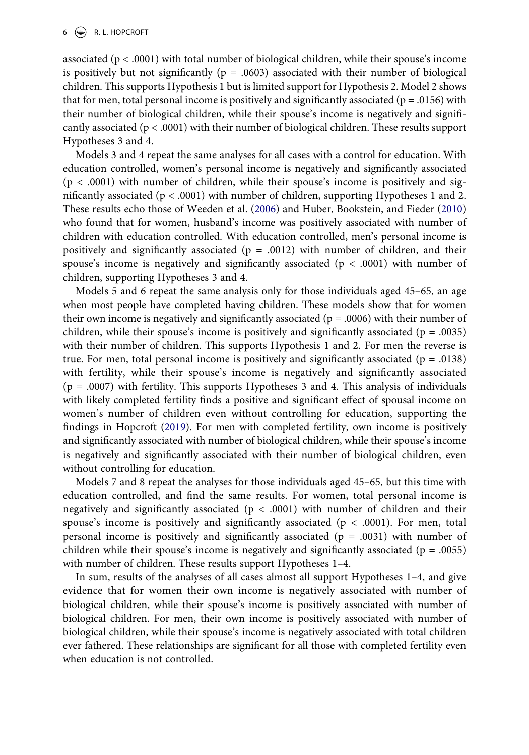associated ( $p < .0001$ ) with total number of biological children, while their spouse's income is positively but not significantly ( $p = .0603$ ) associated with their number of biological children. This supports Hypothesis 1 but is limited support for Hypothesis 2. Model 2 shows that for men, total personal income is positively and significantly associated ( $p = .0156$ ) with their number of biological children, while their spouse's income is negatively and significantly associated ( $p < .0001$ ) with their number of biological children. These results support Hypotheses 3 and 4.

Models 3 and 4 repeat the same analyses for all cases with a control for education. With education controlled, women's personal income is negatively and significantly associated  $(p < .0001)$  with number of children, while their spouse's income is positively and significantly associated ( $p < .0001$ ) with number of children, supporting Hypotheses 1 and 2. These results echo those of Weeden et al. ([2006\)](#page-12-0) and Huber, Bookstein, and Fieder [\(2010\)](#page-11-12) who found that for women, husband's income was positively associated with number of children with education controlled. With education controlled, men's personal income is positively and significantly associated ( $p = .0012$ ) with number of children, and their spouse's income is negatively and significantly associated ( $p < .0001$ ) with number of children, supporting Hypotheses 3 and 4.

Models 5 and 6 repeat the same analysis only for those individuals aged 45–65, an age when most people have completed having children. These models show that for women their own income is negatively and significantly associated ( $p = .0006$ ) with their number of children, while their spouse's income is positively and significantly associated ( $p = .0035$ ) with their number of children. This supports Hypothesis 1 and 2. For men the reverse is true. For men, total personal income is positively and significantly associated ( $p = .0138$ ) with fertility, while their spouse's income is negatively and significantly associated  $(p = .0007)$  with fertility. This supports Hypotheses 3 and 4. This analysis of individuals with likely completed fertility finds a positive and significant effect of spousal income on women's number of children even without controlling for education, supporting the findings in Hopcroft ([2019\)](#page-10-3). For men with completed fertility, own income is positively and significantly associated with number of biological children, while their spouse's income is negatively and significantly associated with their number of biological children, even without controlling for education.

Models 7 and 8 repeat the analyses for those individuals aged 45–65, but this time with education controlled, and find the same results. For women, total personal income is negatively and significantly associated ( $p < .0001$ ) with number of children and their spouse's income is positively and significantly associated ( $p < .0001$ ). For men, total personal income is positively and significantly associated ( $p = .0031$ ) with number of children while their spouse's income is negatively and significantly associated ( $p = .0055$ ) with number of children. These results support Hypotheses 1–4.

In sum, results of the analyses of all cases almost all support Hypotheses 1–4, and give evidence that for women their own income is negatively associated with number of biological children, while their spouse's income is positively associated with number of biological children. For men, their own income is positively associated with number of biological children, while their spouse's income is negatively associated with total children ever fathered. These relationships are significant for all those with completed fertility even when education is not controlled.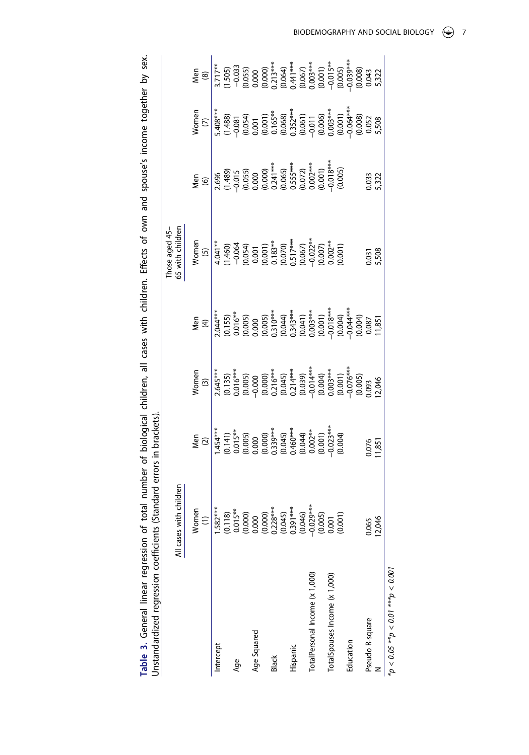<span id="page-6-0"></span>Table 3. General linear regression of total number of biological children, all cases with children. Effects of own and spouse's income together by sex. **Table 3.** General linear regression of total number of biological children, all cases with children. Effects of own and spouse's income together by sex. Unstandardized regression coefficients (Standard errors in brackets). Unstandardized regression coefficients (Standard errors in brackets).

|                                                                                                                                                                                                                                                                                                                                         | rith childrer<br>All cases w |                                                                                                                                                                                                                                                                                                                                                                                                       |                                                                                                                                                                                                                                                                                                                                                                                          |                                                                                                                                                                                                                              | Those aged 45-<br>65 with children                                                                                                                                                                                                                                                                                                                                                                                                                               |                                                                                                                                                                                 |                                                                                                                                                                                                                                                                                                                                                                                                                                       |
|-----------------------------------------------------------------------------------------------------------------------------------------------------------------------------------------------------------------------------------------------------------------------------------------------------------------------------------------|------------------------------|-------------------------------------------------------------------------------------------------------------------------------------------------------------------------------------------------------------------------------------------------------------------------------------------------------------------------------------------------------------------------------------------------------|------------------------------------------------------------------------------------------------------------------------------------------------------------------------------------------------------------------------------------------------------------------------------------------------------------------------------------------------------------------------------------------|------------------------------------------------------------------------------------------------------------------------------------------------------------------------------------------------------------------------------|------------------------------------------------------------------------------------------------------------------------------------------------------------------------------------------------------------------------------------------------------------------------------------------------------------------------------------------------------------------------------------------------------------------------------------------------------------------|---------------------------------------------------------------------------------------------------------------------------------------------------------------------------------|---------------------------------------------------------------------------------------------------------------------------------------------------------------------------------------------------------------------------------------------------------------------------------------------------------------------------------------------------------------------------------------------------------------------------------------|
| Women<br>$\frac{(1)}{(1)}$                                                                                                                                                                                                                                                                                                              |                              | Men $(2)$                                                                                                                                                                                                                                                                                                                                                                                             | ${\footnotesize \begin{array}{c} \text{Women} \\ \text{Women} \\ \text{2,645} \\ \text{2,645} \\ \text{2,645} \\ \text{2,645} \\ \text{2,645} \\ \text{2,645} \\ \text{2,645} \\ \text{2,645} \\ \text{2,645} \\ \text{2,645} \\ \text{2,645} \\ \text{2,645} \\ \text{2,645} \\ \text{2,645} \\ \text{2,645} \\ \text{2,645} \\ \text{2,645} \\ \text{2,645} \\ \text{2,645} \\ \text{$ | Men (4) $(3.55)$ $(4)$ $(3.55)$ $(5.50)$ $(6.50)$ $(7.55)$ $(8.50)$ $(8.50)$ $(9.50)$ $(9.50)$ $(9.50)$ $(9.50)$ $(9.50)$ $(9.50)$ $(9.50)$ $(9.50)$ $(9.50)$ $(9.50)$ $(9.50)$ $(9.50)$ $(9.50)$ $(9.50)$ $(9.50)$ $(9.50)$ | $\begin{array}{r} \text{Women} \\ \text{Women} \\ \text{S} \\ \text{S} \\ \text{A} \\ \text{A} \\ \text{A} \\ \text{B} \\ \text{C} \\ \text{D} \\ \text{A} \\ \text{A} \\ \text{A} \\ \text{B} \\ \text{B} \\ \text{C} \\ \text{D} \\ \text{A} \\ \text{A} \\ \text{B} \\ \text{B} \\ \text{B} \\ \text{C} \\ \text{A} \\ \text{B} \\ \text{B} \\ \text{B} \\ \text{B} \\ \text{B} \\ \text{B} \\ \text{B} \\ \text{B} \\ \text{B} \\ \text{B} \\ \text{B} \\ \$ | Men<br>$(6)$<br>$(6)$<br>$(7.489)$<br>$(7.49)$<br>$(7.49)$<br>$(0.000)$<br>$(0.000)$<br>$(0.000)$<br>$(0.007)$<br>$(0.007)$<br>$(0.007)$<br>$(0.007)$<br>$(0.000)$<br>$(0.000)$ | $\begin{array}{c} \texttt{Men} \\ \texttt{8} \\ \texttt{8} \\ \texttt{9} \\ \texttt{17} \\ \texttt{17} \\ \texttt{19} \\ \texttt{19} \\ \texttt{19} \\ \texttt{19} \\ \texttt{19} \\ \texttt{19} \\ \texttt{19} \\ \texttt{19} \\ \texttt{19} \\ \texttt{19} \\ \texttt{19} \\ \texttt{19} \\ \texttt{19} \\ \texttt{19} \\ \texttt{19} \\ \texttt{19} \\ \texttt{19} \\ \texttt{19} \\ \texttt{19} \\ \texttt{19} \\ \texttt{19} \\$ |
|                                                                                                                                                                                                                                                                                                                                         |                              |                                                                                                                                                                                                                                                                                                                                                                                                       |                                                                                                                                                                                                                                                                                                                                                                                          |                                                                                                                                                                                                                              |                                                                                                                                                                                                                                                                                                                                                                                                                                                                  |                                                                                                                                                                                 |                                                                                                                                                                                                                                                                                                                                                                                                                                       |
| $\begin{array}{l} \bf{1.52^{***}} \\ \bf{1.53^{***}} \\ \bf{0.178)} \\ \bf{0.05^{**}} \\ \bf{0.000} \\ \bf{0.000} \\ \bf{0.000} \\ \bf{0.000} \\ \bf{0.000} \\ \bf{0.000} \\ \bf{0.000} \\ \bf{0.000} \\ \bf{0.001} \\ \bf{0.001} \\ \bf{0.000} \\ \bf{0.001} \\ \bf{0.001} \\ \bf{0.001} \\ \bf{0.001} \\ \bf{0.001} \\ \bf{0.001} \\$ |                              | $\begin{array}{l} \mid \frac{4}{1454^{**}} \mid \frac{4}{1454^{**}} \mid \frac{4}{145} \mid \frac{4}{145} \mid \frac{4}{145} \mid \frac{4}{145} \mid \frac{4}{145} \mid \frac{4}{145} \mid \frac{4}{145} \mid \frac{4}{145} \mid \frac{4}{145} \mid \frac{4}{145} \mid \frac{4}{145} \mid \frac{4}{145} \mid \frac{4}{145} \mid \frac{4}{145} \mid \frac{4}{145} \mid \frac{4}{145} \mid \frac{4}{14$ |                                                                                                                                                                                                                                                                                                                                                                                          |                                                                                                                                                                                                                              |                                                                                                                                                                                                                                                                                                                                                                                                                                                                  |                                                                                                                                                                                 |                                                                                                                                                                                                                                                                                                                                                                                                                                       |
|                                                                                                                                                                                                                                                                                                                                         |                              |                                                                                                                                                                                                                                                                                                                                                                                                       |                                                                                                                                                                                                                                                                                                                                                                                          |                                                                                                                                                                                                                              |                                                                                                                                                                                                                                                                                                                                                                                                                                                                  |                                                                                                                                                                                 |                                                                                                                                                                                                                                                                                                                                                                                                                                       |
|                                                                                                                                                                                                                                                                                                                                         |                              |                                                                                                                                                                                                                                                                                                                                                                                                       |                                                                                                                                                                                                                                                                                                                                                                                          |                                                                                                                                                                                                                              |                                                                                                                                                                                                                                                                                                                                                                                                                                                                  |                                                                                                                                                                                 |                                                                                                                                                                                                                                                                                                                                                                                                                                       |
|                                                                                                                                                                                                                                                                                                                                         |                              |                                                                                                                                                                                                                                                                                                                                                                                                       |                                                                                                                                                                                                                                                                                                                                                                                          |                                                                                                                                                                                                                              |                                                                                                                                                                                                                                                                                                                                                                                                                                                                  |                                                                                                                                                                                 |                                                                                                                                                                                                                                                                                                                                                                                                                                       |
|                                                                                                                                                                                                                                                                                                                                         |                              |                                                                                                                                                                                                                                                                                                                                                                                                       |                                                                                                                                                                                                                                                                                                                                                                                          |                                                                                                                                                                                                                              |                                                                                                                                                                                                                                                                                                                                                                                                                                                                  |                                                                                                                                                                                 |                                                                                                                                                                                                                                                                                                                                                                                                                                       |
|                                                                                                                                                                                                                                                                                                                                         |                              |                                                                                                                                                                                                                                                                                                                                                                                                       |                                                                                                                                                                                                                                                                                                                                                                                          |                                                                                                                                                                                                                              |                                                                                                                                                                                                                                                                                                                                                                                                                                                                  |                                                                                                                                                                                 |                                                                                                                                                                                                                                                                                                                                                                                                                                       |
|                                                                                                                                                                                                                                                                                                                                         |                              |                                                                                                                                                                                                                                                                                                                                                                                                       |                                                                                                                                                                                                                                                                                                                                                                                          |                                                                                                                                                                                                                              |                                                                                                                                                                                                                                                                                                                                                                                                                                                                  |                                                                                                                                                                                 |                                                                                                                                                                                                                                                                                                                                                                                                                                       |
|                                                                                                                                                                                                                                                                                                                                         |                              |                                                                                                                                                                                                                                                                                                                                                                                                       |                                                                                                                                                                                                                                                                                                                                                                                          |                                                                                                                                                                                                                              |                                                                                                                                                                                                                                                                                                                                                                                                                                                                  |                                                                                                                                                                                 |                                                                                                                                                                                                                                                                                                                                                                                                                                       |
|                                                                                                                                                                                                                                                                                                                                         |                              |                                                                                                                                                                                                                                                                                                                                                                                                       |                                                                                                                                                                                                                                                                                                                                                                                          |                                                                                                                                                                                                                              |                                                                                                                                                                                                                                                                                                                                                                                                                                                                  |                                                                                                                                                                                 |                                                                                                                                                                                                                                                                                                                                                                                                                                       |
|                                                                                                                                                                                                                                                                                                                                         |                              |                                                                                                                                                                                                                                                                                                                                                                                                       |                                                                                                                                                                                                                                                                                                                                                                                          |                                                                                                                                                                                                                              |                                                                                                                                                                                                                                                                                                                                                                                                                                                                  |                                                                                                                                                                                 |                                                                                                                                                                                                                                                                                                                                                                                                                                       |
|                                                                                                                                                                                                                                                                                                                                         |                              |                                                                                                                                                                                                                                                                                                                                                                                                       |                                                                                                                                                                                                                                                                                                                                                                                          |                                                                                                                                                                                                                              |                                                                                                                                                                                                                                                                                                                                                                                                                                                                  |                                                                                                                                                                                 |                                                                                                                                                                                                                                                                                                                                                                                                                                       |
|                                                                                                                                                                                                                                                                                                                                         |                              |                                                                                                                                                                                                                                                                                                                                                                                                       |                                                                                                                                                                                                                                                                                                                                                                                          |                                                                                                                                                                                                                              |                                                                                                                                                                                                                                                                                                                                                                                                                                                                  |                                                                                                                                                                                 |                                                                                                                                                                                                                                                                                                                                                                                                                                       |
|                                                                                                                                                                                                                                                                                                                                         |                              |                                                                                                                                                                                                                                                                                                                                                                                                       |                                                                                                                                                                                                                                                                                                                                                                                          |                                                                                                                                                                                                                              |                                                                                                                                                                                                                                                                                                                                                                                                                                                                  |                                                                                                                                                                                 |                                                                                                                                                                                                                                                                                                                                                                                                                                       |
|                                                                                                                                                                                                                                                                                                                                         |                              |                                                                                                                                                                                                                                                                                                                                                                                                       |                                                                                                                                                                                                                                                                                                                                                                                          |                                                                                                                                                                                                                              |                                                                                                                                                                                                                                                                                                                                                                                                                                                                  |                                                                                                                                                                                 |                                                                                                                                                                                                                                                                                                                                                                                                                                       |
|                                                                                                                                                                                                                                                                                                                                         |                              |                                                                                                                                                                                                                                                                                                                                                                                                       |                                                                                                                                                                                                                                                                                                                                                                                          |                                                                                                                                                                                                                              |                                                                                                                                                                                                                                                                                                                                                                                                                                                                  |                                                                                                                                                                                 |                                                                                                                                                                                                                                                                                                                                                                                                                                       |
|                                                                                                                                                                                                                                                                                                                                         |                              |                                                                                                                                                                                                                                                                                                                                                                                                       |                                                                                                                                                                                                                                                                                                                                                                                          |                                                                                                                                                                                                                              |                                                                                                                                                                                                                                                                                                                                                                                                                                                                  |                                                                                                                                                                                 |                                                                                                                                                                                                                                                                                                                                                                                                                                       |
| 0.065                                                                                                                                                                                                                                                                                                                                   |                              | 0.076<br> 1,851                                                                                                                                                                                                                                                                                                                                                                                       |                                                                                                                                                                                                                                                                                                                                                                                          |                                                                                                                                                                                                                              | 0.031<br>5,508                                                                                                                                                                                                                                                                                                                                                                                                                                                   | 0.033<br>5,322                                                                                                                                                                  |                                                                                                                                                                                                                                                                                                                                                                                                                                       |
| 12,046                                                                                                                                                                                                                                                                                                                                  |                              |                                                                                                                                                                                                                                                                                                                                                                                                       |                                                                                                                                                                                                                                                                                                                                                                                          |                                                                                                                                                                                                                              |                                                                                                                                                                                                                                                                                                                                                                                                                                                                  |                                                                                                                                                                                 |                                                                                                                                                                                                                                                                                                                                                                                                                                       |

 $\frac{100.05}{3} > \frac{4}{3} + 10.0 > \frac{4}{3} + 50.0 < 0.001$  $*_{\mathcal{P}} < 0.05 \; *_{\mathcal{P}} < 0.01 \; *_{\mathcal{P}} < 0.001$ 

BIODEMOGRAPHY AND SOCIAL BIOLOGY  $\bigodot$ 

7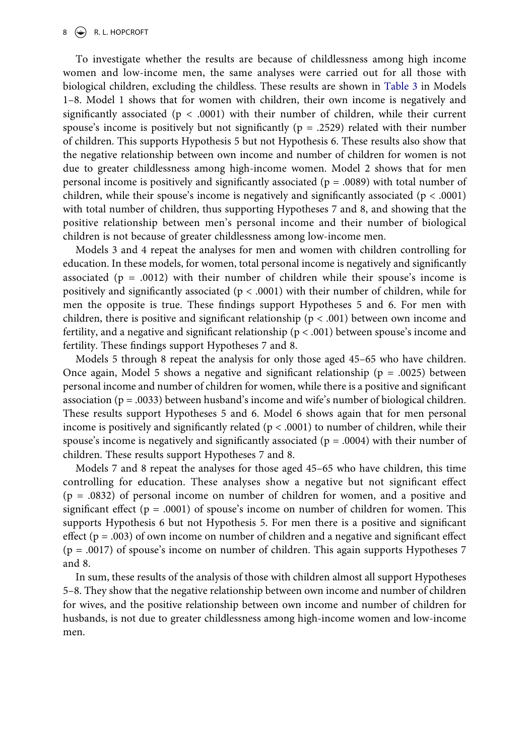To investigate whether the results are because of childlessness among high income women and low-income men, the same analyses were carried out for all those with biological children, excluding the childless. These results are shown in [Table 3](#page-6-0) in Models 1–8. Model 1 shows that for women with children, their own income is negatively and significantly associated ( $p < .0001$ ) with their number of children, while their current spouse's income is positively but not significantly ( $p = .2529$ ) related with their number of children. This supports Hypothesis 5 but not Hypothesis 6. These results also show that the negative relationship between own income and number of children for women is not due to greater childlessness among high-income women. Model 2 shows that for men personal income is positively and significantly associated ( $p = .0089$ ) with total number of children, while their spouse's income is negatively and significantly associated ( $p < .0001$ ) with total number of children, thus supporting Hypotheses 7 and 8, and showing that the positive relationship between men's personal income and their number of biological children is not because of greater childlessness among low-income men.

Models 3 and 4 repeat the analyses for men and women with children controlling for education. In these models, for women, total personal income is negatively and significantly associated ( $p = .0012$ ) with their number of children while their spouse's income is positively and significantly associated ( $p < .0001$ ) with their number of children, while for men the opposite is true. These findings support Hypotheses 5 and 6. For men with children, there is positive and significant relationship ( $p < .001$ ) between own income and fertility, and a negative and significant relationship ( $p < .001$ ) between spouse's income and fertility. These findings support Hypotheses 7 and 8.

Models 5 through 8 repeat the analysis for only those aged 45–65 who have children. Once again, Model 5 shows a negative and significant relationship ( $p = .0025$ ) between personal income and number of children for women, while there is a positive and significant association ( $p = .0033$ ) between husband's income and wife's number of biological children. These results support Hypotheses 5 and 6. Model 6 shows again that for men personal income is positively and significantly related ( $p < .0001$ ) to number of children, while their spouse's income is negatively and significantly associated ( $p = .0004$ ) with their number of children. These results support Hypotheses 7 and 8.

Models 7 and 8 repeat the analyses for those aged 45–65 who have children, this time controlling for education. These analyses show a negative but not significant effect (p = .0832) of personal income on number of children for women, and a positive and significant effect ( $p = .0001$ ) of spouse's income on number of children for women. This supports Hypothesis 6 but not Hypothesis 5. For men there is a positive and significant effect ( $p = .003$ ) of own income on number of children and a negative and significant effect (p = .0017) of spouse's income on number of children. This again supports Hypotheses 7 and 8.

In sum, these results of the analysis of those with children almost all support Hypotheses 5–8. They show that the negative relationship between own income and number of children for wives, and the positive relationship between own income and number of children for husbands, is not due to greater childlessness among high-income women and low-income men.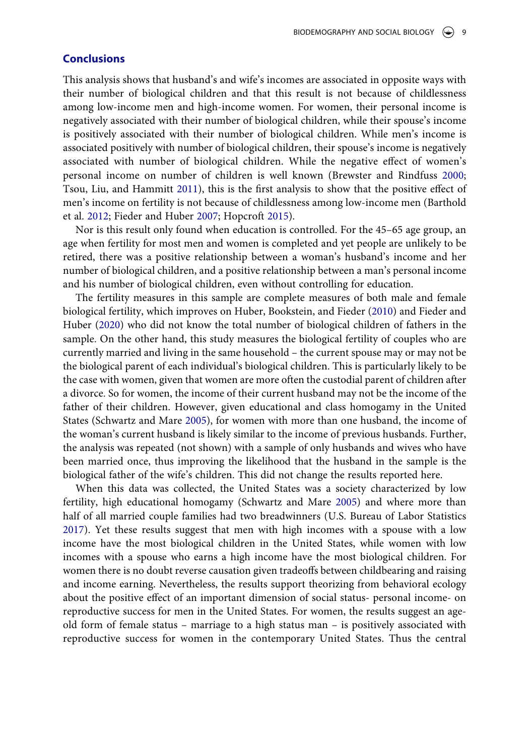# **Conclusions**

This analysis shows that husband's and wife's incomes are associated in opposite ways with their number of biological children and that this result is not because of childlessness among low-income men and high-income women. For women, their personal income is negatively associated with their number of biological children, while their spouse's income is positively associated with their number of biological children. While men's income is associated positively with number of biological children, their spouse's income is negatively associated with number of biological children. While the negative effect of women's personal income on number of children is well known (Brewster and Rindfuss [2000;](#page-10-20) Tsou, Liu, and Hammitt [2011\)](#page-11-17), this is the first analysis to show that the positive effect of men's income on fertility is not because of childlessness among low-income men (Barthold et al. [2012](#page-10-12); Fieder and Huber [2007;](#page-10-4) Hopcroft [2015\)](#page-10-2).

<span id="page-8-2"></span><span id="page-8-0"></span>Nor is this result only found when education is controlled. For the 45–65 age group, an age when fertility for most men and women is completed and yet people are unlikely to be retired, there was a positive relationship between a woman's husband's income and her number of biological children, and a positive relationship between a man's personal income and his number of biological children, even without controlling for education.

The fertility measures in this sample are complete measures of both male and female biological fertility, which improves on Huber, Bookstein, and Fieder [\(2010](#page-11-12)) and Fieder and Huber [\(2020](#page-10-14)) who did not know the total number of biological children of fathers in the sample. On the other hand, this study measures the biological fertility of couples who are currently married and living in the same household – the current spouse may or may not be the biological parent of each individual's biological children. This is particularly likely to be the case with women, given that women are more often the custodial parent of children after a divorce. So for women, the income of their current husband may not be the income of the father of their children. However, given educational and class homogamy in the United States (Schwartz and Mare [2005\)](#page-11-18), for women with more than one husband, the income of the woman's current husband is likely similar to the income of previous husbands. Further, the analysis was repeated (not shown) with a sample of only husbands and wives who have been married once, thus improving the likelihood that the husband in the sample is the biological father of the wife's children. This did not change the results reported here.

<span id="page-8-1"></span>When this data was collected, the United States was a society characterized by low fertility, high educational homogamy (Schwartz and Mare [2005](#page-11-18)) and where more than half of all married couple families had two breadwinners (U.S. Bureau of Labor Statistics [2017](#page-11-11)). Yet these results suggest that men with high incomes with a spouse with a low income have the most biological children in the United States, while women with low incomes with a spouse who earns a high income have the most biological children. For women there is no doubt reverse causation given tradeoffs between childbearing and raising and income earning. Nevertheless, the results support theorizing from behavioral ecology about the positive effect of an important dimension of social status- personal income- on reproductive success for men in the United States. For women, the results suggest an ageold form of female status – marriage to a high status man – is positively associated with reproductive success for women in the contemporary United States. Thus the central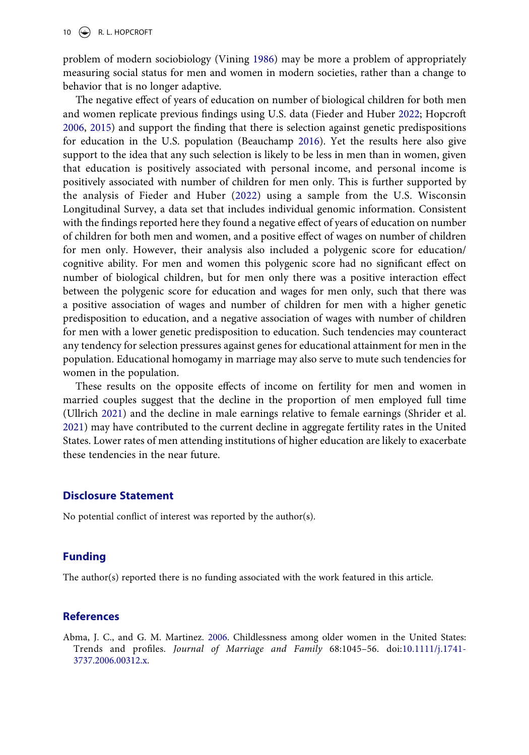10  $\left(\bigstar\right)$  R. L. HOPCROFT

<span id="page-9-3"></span>problem of modern sociobiology (Vining [1986](#page-12-6)) may be more a problem of appropriately measuring social status for men and women in modern societies, rather than a change to behavior that is no longer adaptive.

<span id="page-9-1"></span>The negative effect of years of education on number of biological children for both men and women replicate previous findings using U.S. data (Fieder and Huber [2022;](#page-10-0) Hopcroft [2006](#page-10-1), [2015\)](#page-10-2) and support the finding that there is selection against genetic predispositions for education in the U.S. population (Beauchamp [2016](#page-10-21)). Yet the results here also give support to the idea that any such selection is likely to be less in men than in women, given that education is positively associated with personal income, and personal income is positively associated with number of children for men only. This is further supported by the analysis of Fieder and Huber [\(2022](#page-10-0)) using a sample from the U.S. Wisconsin Longitudinal Survey, a data set that includes individual genomic information. Consistent with the findings reported here they found a negative effect of years of education on number of children for both men and women, and a positive effect of wages on number of children for men only. However, their analysis also included a polygenic score for education/ cognitive ability. For men and women this polygenic score had no significant effect on number of biological children, but for men only there was a positive interaction effect between the polygenic score for education and wages for men only, such that there was a positive association of wages and number of children for men with a higher genetic predisposition to education, and a negative association of wages with number of children for men with a lower genetic predisposition to education. Such tendencies may counteract any tendency for selection pressures against genes for educational attainment for men in the population. Educational homogamy in marriage may also serve to mute such tendencies for women in the population.

<span id="page-9-2"></span>These results on the opposite effects of income on fertility for men and women in married couples suggest that the decline in the proportion of men employed full time (Ullrich [2021\)](#page-11-19) and the decline in male earnings relative to female earnings (Shrider et al. [2021](#page-11-20)) may have contributed to the current decline in aggregate fertility rates in the United States. Lower rates of men attending institutions of higher education are likely to exacerbate these tendencies in the near future.

#### **Disclosure Statement**

No potential conflict of interest was reported by the author(s).

# **Funding**

The author(s) reported there is no funding associated with the work featured in this article.

#### **References**

<span id="page-9-0"></span>Abma, J. C., and G. M. Martinez. [2006](#page-1-0). Childlessness among older women in the United States: Trends and profiles. Journal of Marriage and Family 68:1045–56. doi:[10.1111/j.1741-](https://doi.org/10.1111/j.1741-3737.2006.00312.x) [3737.2006.00312.x](https://doi.org/10.1111/j.1741-3737.2006.00312.x).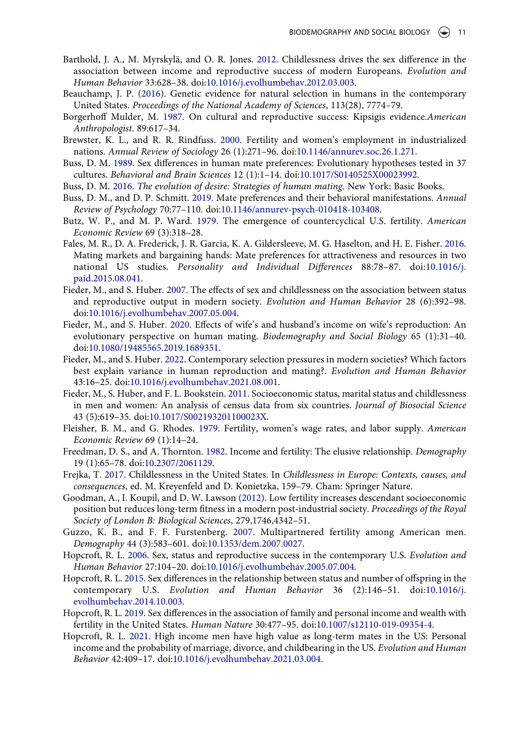- <span id="page-10-12"></span>Barthold, J. A., M. Myrskylä, and O. R. Jones. [2012](#page-1-1). Childlessness drives the sex difference in the association between income and reproductive success of modern Europeans. Evolution and Human Behavior 33:628–38. doi:[10.1016/j.evolhumbehav.2012.03.003.](https://doi.org/10.1016/j.evolhumbehav.2012.03.003)
- <span id="page-10-21"></span>Beauchamp, J. P. ([2016\)](#page-9-1). Genetic evidence for natural selection in humans in the contemporary United States. Proceedings of the National Academy of Sciences, 113(28), 7774–79.
- <span id="page-10-6"></span>Borgerhoff Mulder, M. [1987.](#page-0-0) On cultural and reproductive success: Kipsigis evidence.American Anthropologist. 89:617–34.
- <span id="page-10-20"></span>Brewster, K. L., and R. R. Rindfuss. [2000](#page-8-0). Fertility and women's employment in industrialized nations. Annual Review of Sociology 26 (1):271–96. doi:[10.1146/annurev.soc.26.1.271](https://doi.org/10.1146/annurev.soc.26.1.271).
- <span id="page-10-7"></span>Buss, D. M. [1989](#page-0-1). Sex differences in human mate preferences: Evolutionary hypotheses tested in 37 cultures. Behavioral and Brain Sciences 12 (1):1–14. doi:[10.1017/S0140525X00023992](https://doi.org/10.1017/S0140525X00023992).
- <span id="page-10-8"></span>Buss, D. M. [2016.](#page-0-1) The evolution of desire: Strategies of human mating. New York: Basic Books.
- <span id="page-10-9"></span>Buss, D. M., and D. P. Schmitt. [2019](#page-0-1). Mate preferences and their behavioral manifestations. Annual Review of Psychology 70:77–110. doi:[10.1146/annurev-psych-010418-103408.](https://doi.org/10.1146/annurev-psych-010418-103408)
- <span id="page-10-18"></span>Butz, W. P., and M. P. Ward. [1979.](#page-1-2) The emergence of countercyclical U.S. fertility. American Economic Review 69 (3):318–28.
- <span id="page-10-10"></span>Fales, M. R., D. A. Frederick, J. R. Garcia, K. A. Gildersleeve, M. G. Haselton, and H. E. Fisher. [2016](#page-0-2). Mating markets and bargaining hands: Mate preferences for attractiveness and resources in two national US studies. Personality and Individual Differences 88:78–87. doi:[10.1016/j.](https://doi.org/10.1016/j.paid.2015.08.041) [paid.2015.08.041](https://doi.org/10.1016/j.paid.2015.08.041).
- <span id="page-10-4"></span>Fieder, M., and S. Huber. [2007](#page-0-3). The effects of sex and childlessness on the association between status and reproductive output in modern society. Evolution and Human Behavior 28 (6):392–98. doi:[10.1016/j.evolhumbehav.2007.05.004](https://doi.org/10.1016/j.evolhumbehav.2007.05.004).
- <span id="page-10-14"></span>Fieder, M., and S. Huber. [2020](#page-1-0). Effects of wife's and husband's income on wife's reproduction: An evolutionary perspective on human mating. Biodemography and Social Biology 65 (1):31–40. doi:[10.1080/19485565.2019.1689351](https://doi.org/10.1080/19485565.2019.1689351).
- <span id="page-10-0"></span>Fieder, M., and S. Huber. [2022](#page-0-4). Contemporary selection pressures in modern societies? Which factors best explain variance in human reproduction and mating?. Evolution and Human Behavior 43:16–25. doi:[10.1016/j.evolhumbehav.2021.08.001.](https://doi.org/10.1016/j.evolhumbehav.2021.08.001)
- <span id="page-10-13"></span>Fieder, M., S. Huber, and F. L. Bookstein. [2011.](#page-1-1) Socioeconomic status, marital status and childlessness in men and women: An analysis of census data from six countries. Journal of Biosocial Science 43 (5):619–35. doi:[10.1017/S002193201100023X](https://doi.org/10.1017/S002193201100023X).
- <span id="page-10-16"></span>Fleisher, B. M., and G. Rhodes. [1979.](#page-1-3) Fertility, women's wage rates, and labor supply. American Economic Review 69 (1):14–24.
- <span id="page-10-17"></span>Freedman, D. S., and A. Thornton. [1982](#page-1-3). Income and fertility: The elusive relationship. Demography 19 (1):65–78. doi:[10.2307/2061129](https://doi.org/10.2307/2061129).
- <span id="page-10-15"></span>Frejka, T. [2017.](#page-1-0) Childlessness in the United States. In Childlessness in Europe: Contexts, causes, and consequences, ed. M. Kreyenfeld and D. Konietzka, 159–79. Cham: Springer Nature.
- <span id="page-10-5"></span>Goodman, A., I. Koupil, and D. W. Lawson ([2012\)](#page-0-3). Low fertility increases descendant socioeconomic position but reduces long-term fitness in a modern post-industrial society. Proceedings of the Royal Society of London B: Biological Sciences, 279,1746,4342–51.
- <span id="page-10-19"></span>Guzzo, K. B., and F. F. Furstenberg. [2007.](#page-3-0) Multipartnered fertility among American men. Demography 44 (3):583–601. doi:[10.1353/dem.2007.0027](https://doi.org/10.1353/dem.2007.0027).
- <span id="page-10-1"></span>Hopcroft, R. L. [2006](#page-0-4). Sex, status and reproductive success in the contemporary U.S. Evolution and Human Behavior 27:104–20. doi:[10.1016/j.evolhumbehav.2005.07.004.](https://doi.org/10.1016/j.evolhumbehav.2005.07.004)
- <span id="page-10-2"></span>Hopcroft, R. L. [2015.](#page-0-4) Sex differences in the relationship between status and number of offspring in the contemporary U.S. Evolution and Human Behavior 36 (2):146–51. doi:[10.1016/j.](https://doi.org/10.1016/j.evolhumbehav.2014.10.003) [evolhumbehav.2014.10.003.](https://doi.org/10.1016/j.evolhumbehav.2014.10.003)
- <span id="page-10-3"></span>Hopcroft, R. L. [2019.](#page-0-4) Sex differences in the association of family and personal income and wealth with fertility in the United States. Human Nature 30:477–95. doi:[10.1007/s12110-019-09354-4.](https://doi.org/10.1007/s12110-019-09354-4)
- <span id="page-10-11"></span>Hopcroft, R. L. [2021.](#page-0-2) High income men have high value as long-term mates in the US: Personal income and the probability of marriage, divorce, and childbearing in the US. Evolution and Human Behavior 42:409–17. doi:[10.1016/j.evolhumbehav.2021.03.004.](https://doi.org/10.1016/j.evolhumbehav.2021.03.004)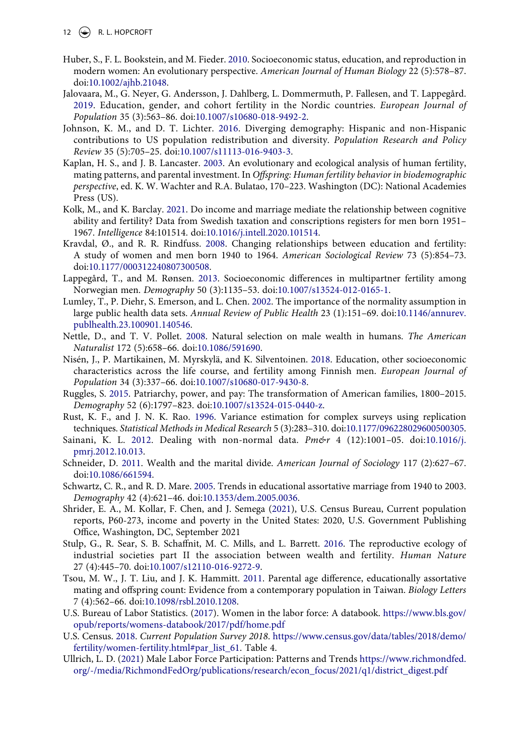- <span id="page-11-12"></span>Huber, S., F. L. Bookstein, and M. Fieder. [2010.](#page-1-4) Socioeconomic status, education, and reproduction in modern women: An evolutionary perspective. American Journal of Human Biology 22 (5):578–87. doi:[10.1002/ajhb.21048.](https://doi.org/10.1002/ajhb.21048)
- <span id="page-11-6"></span>Jalovaara, M., G. Neyer, G. Andersson, J. Dahlberg, L. Dommermuth, P. Fallesen, and T. Lappegård. [2019.](#page-1-5) Education, gender, and cohort fertility in the Nordic countries. European Journal of Population 35 (3):563–86. doi:[10.1007/s10680-018-9492-2.](https://doi.org/10.1007/s10680-018-9492-2)
- <span id="page-11-13"></span>Johnson, K. M., and D. T. Lichter. [2016.](#page-3-1) Diverging demography: Hispanic and non-Hispanic contributions to US population redistribution and diversity. Population Research and Policy Review 35 (5):705–25. doi:[10.1007/s11113-016-9403-3.](https://doi.org/10.1007/s11113-016-9403-3)
- <span id="page-11-5"></span>Kaplan, H. S., and J. B. Lancaster. [2003](#page-0-5). An evolutionary and ecological analysis of human fertility, mating patterns, and parental investment. In Offspring: Human fertility behavior in biodemographic perspective, ed. K. W. Wachter and R.A. Bulatao, 170–223. Washington (DC): National Academies Press (US).
- <span id="page-11-3"></span>Kolk, M., and K. Barclay. [2021.](#page-0-6) Do income and marriage mediate the relationship between cognitive ability and fertility? Data from Swedish taxation and conscriptions registers for men born 1951– 1967. Intelligence 84:101514. doi:[10.1016/j.intell.2020.101514](https://doi.org/10.1016/j.intell.2020.101514).
- <span id="page-11-7"></span>Kravdal, Ø., and R. R. Rindfuss. [2008](#page-1-6). Changing relationships between education and fertility: A study of women and men born 1940 to 1964. American Sociological Review 73 (5):854–73. doi:[10.1177/000312240807300508](https://doi.org/10.1177/000312240807300508).
- <span id="page-11-2"></span>Lappegård, T., and M. Rønsen. [2013](#page-0-7). Socioeconomic differences in multipartner fertility among Norwegian men. Demography 50 (3):1135–53. doi:[10.1007/s13524-012-0165-1](https://doi.org/10.1007/s13524-012-0165-1).
- <span id="page-11-14"></span>Lumley, T., P. Diehr, S. Emerson, and L. Chen. [2002](#page-3-2). The importance of the normality assumption in large public health data sets. Annual Review of Public Health 23 (1):151–69. doi:[10.1146/annurev.](https://doi.org/10.1146/annurev.publhealth.23.100901.140546) [publhealth.23.100901.140546](https://doi.org/10.1146/annurev.publhealth.23.100901.140546).
- <span id="page-11-1"></span>Nettle, D., and T. V. Pollet. [2008.](#page-0-7) Natural selection on male wealth in humans. The American Naturalist 172 (5):658–66. doi:[10.1086/591690](https://doi.org/10.1086/591690).
- <span id="page-11-4"></span>Nisén, J., P. Martikainen, M. Myrskylä, and K. Silventoinen. [2018.](#page-0-6) Education, other socioeconomic characteristics across the life course, and fertility among Finnish men. European Journal of Population 34 (3):337–66. doi:[10.1007/s10680-017-9430-8.](https://doi.org/10.1007/s10680-017-9430-8)
- <span id="page-11-8"></span>Ruggles, S. [2015](#page-1-7). Patriarchy, power, and pay: The transformation of American families, 1800–2015. Demography 52 (6):1797–823. doi:[10.1007/s13524-015-0440-z](https://doi.org/10.1007/s13524-015-0440-z).
- <span id="page-11-16"></span>Rust, K. F., and J. N. K. Rao. [1996.](#page-3-3) Variance estimation for complex surveys using replication techniques. Statistical Methods in Medical Research 5 (3):283–310. doi:[10.1177/096228029600500305](https://doi.org/10.1177/096228029600500305).
- <span id="page-11-15"></span>Sainani, K. L. [2012](#page-3-2). Dealing with non-normal data.  $Pm\llap{/}r$  4 (12):1001–05. doi:[10.1016/j.](https://doi.org/10.1016/j.pmrj.2012.10.013) [pmrj.2012.10.013](https://doi.org/10.1016/j.pmrj.2012.10.013).
- <span id="page-11-9"></span>Schneider, D. [2011](#page-1-7). Wealth and the marital divide. American Journal of Sociology 117 (2):627–67. doi:[10.1086/661594.](https://doi.org/10.1086/661594)
- <span id="page-11-18"></span>Schwartz, C. R., and R. D. Mare. [2005](#page-8-1). Trends in educational assortative marriage from 1940 to 2003. Demography 42 (4):621–46. doi:[10.1353/dem.2005.0036](https://doi.org/10.1353/dem.2005.0036).
- <span id="page-11-20"></span>Shrider, E. A., M. Kollar, F. Chen, and J. Semega [\(2021](#page-9-2)), U.S. Census Bureau, Current population reports, P60-273, income and poverty in the United States: 2020, U.S. Government Publishing Office, Washington, DC, September 2021
- <span id="page-11-0"></span>Stulp, G., R. Sear, S. B. Schaffnit, M. C. Mills, and L. Barrett. [2016.](#page-0-4) The reproductive ecology of industrial societies part II the association between wealth and fertility. Human Nature 27 (4):445–70. doi:[10.1007/s12110-016-9272-9.](https://doi.org/10.1007/s12110-016-9272-9)
- <span id="page-11-17"></span>Tsou, M. W., J. T. Liu, and J. K. Hammitt. [2011.](#page-8-2) Parental age difference, educationally assortative mating and offspring count: Evidence from a contemporary population in Taiwan. Biology Letters 7 (4):562–66. doi:[10.1098/rsbl.2010.1208](https://doi.org/10.1098/rsbl.2010.1208).
- <span id="page-11-11"></span>U.S. Bureau of Labor Statistics. ([2017](#page-1-8)). Women in the labor force: A databook. [https://www.bls.gov/](https://www.bls.gov/opub/reports/womens-databook/2017/pdf/home.pdf) [opub/reports/womens-databook/2017/pdf/home.pdf](https://www.bls.gov/opub/reports/womens-databook/2017/pdf/home.pdf)
- <span id="page-11-10"></span>U.S. Census. [2018.](#page-1-9) Current Population Survey 2018. [https://www.census.gov/data/tables/2018/demo/](https://www.census.gov/data/tables/2018/demo/fertility/women-fertility.html#par_list_61) [fertility/women-fertility.html#par\\_list\\_61](https://www.census.gov/data/tables/2018/demo/fertility/women-fertility.html#par_list_61). Table 4.
- <span id="page-11-19"></span>Ullrich, L. D. [\(2021\)](#page-9-2) Male Labor Force Participation: Patterns and Trends [https://www.richmondfed.](https://www.richmondfed.org/-/media/RichmondFedOrg/publications/research/econ_focus/2021/q1/district_digest.pdf) [org/-/media/RichmondFedOrg/publications/research/econ\\_focus/2021/q1/district\\_digest.pdf](https://www.richmondfed.org/-/media/RichmondFedOrg/publications/research/econ_focus/2021/q1/district_digest.pdf)